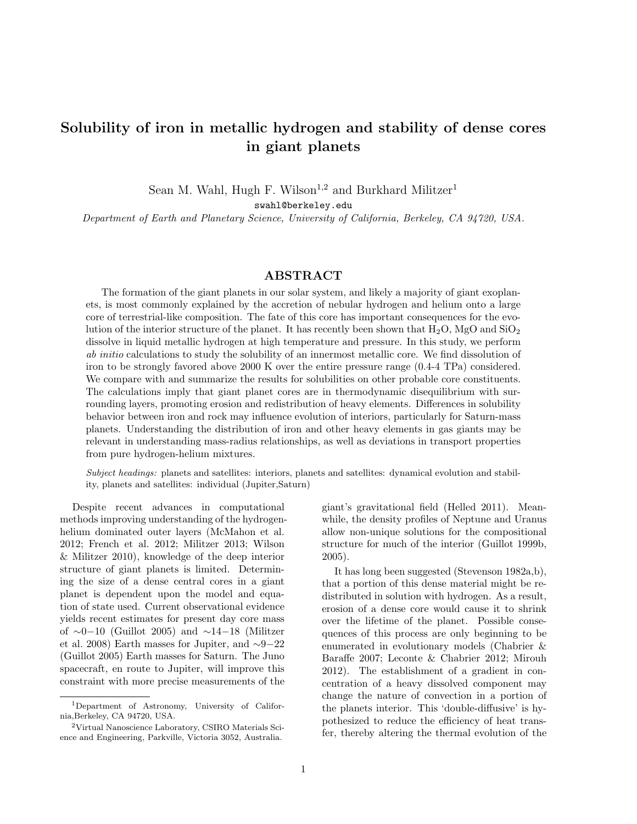## Solubility of iron in metallic hydrogen and stability of dense cores in giant planets

Sean M. Wahl, Hugh F. Wilson<sup>1,2</sup> and Burkhard Militzer<sup>1</sup>

swahl@berkeley.edu

Department of Earth and Planetary Science, University of California, Berkeley, CA 94720, USA.

## ABSTRACT

The formation of the giant planets in our solar system, and likely a majority of giant exoplanets, is most commonly explained by the accretion of nebular hydrogen and helium onto a large core of terrestrial-like composition. The fate of this core has important consequences for the evolution of the interior structure of the planet. It has recently been shown that  $H_2O$ , MgO and  $SiO_2$ dissolve in liquid metallic hydrogen at high temperature and pressure. In this study, we perform ab initio calculations to study the solubility of an innermost metallic core. We find dissolution of iron to be strongly favored above 2000 K over the entire pressure range (0.4-4 TPa) considered. We compare with and summarize the results for solubilities on other probable core constituents. The calculations imply that giant planet cores are in thermodynamic disequilibrium with surrounding layers, promoting erosion and redistribution of heavy elements. Differences in solubility behavior between iron and rock may influence evolution of interiors, particularly for Saturn-mass planets. Understanding the distribution of iron and other heavy elements in gas giants may be relevant in understanding mass-radius relationships, as well as deviations in transport properties from pure hydrogen-helium mixtures.

Subject headings: planets and satellites: interiors, planets and satellites: dynamical evolution and stability, planets and satellites: individual (Jupiter,Saturn)

Despite recent advances in computational methods improving understanding of the hydrogenhelium dominated outer layers (McMahon et al. 2012; French et al. 2012; Militzer 2013; Wilson & Militzer 2010), knowledge of the deep interior structure of giant planets is limited. Determining the size of a dense central cores in a giant planet is dependent upon the model and equation of state used. Current observational evidence yields recent estimates for present day core mass of ∼0−10 (Guillot 2005) and ∼14−18 (Militzer et al. 2008) Earth masses for Jupiter, and ∼9−22 (Guillot 2005) Earth masses for Saturn. The Juno spacecraft, en route to Jupiter, will improve this constraint with more precise measurements of the

giant's gravitational field (Helled 2011). Meanwhile, the density profiles of Neptune and Uranus allow non-unique solutions for the compositional structure for much of the interior (Guillot 1999b, 2005).

It has long been suggested (Stevenson 1982a,b), that a portion of this dense material might be redistributed in solution with hydrogen. As a result, erosion of a dense core would cause it to shrink over the lifetime of the planet. Possible consequences of this process are only beginning to be enumerated in evolutionary models (Chabrier & Baraffe 2007; Leconte & Chabrier 2012; Mirouh 2012). The establishment of a gradient in concentration of a heavy dissolved component may change the nature of convection in a portion of the planets interior. This 'double-diffusive' is hypothesized to reduce the efficiency of heat transfer, thereby altering the thermal evolution of the

<sup>1</sup>Department of Astronomy, University of California,Berkeley, CA 94720, USA.

<sup>2</sup>Virtual Nanoscience Laboratory, CSIRO Materials Science and Engineering, Parkville, Victoria 3052, Australia.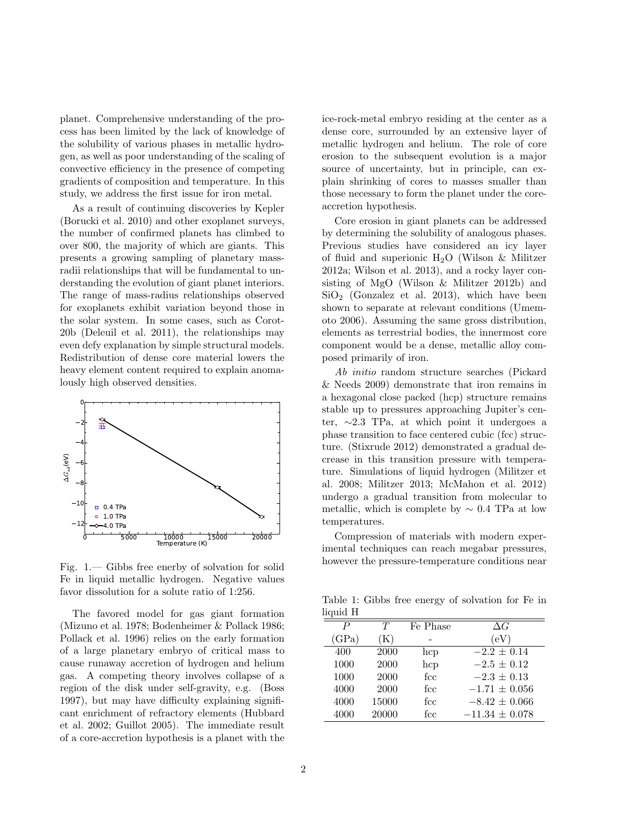planet. Comprehensive understanding of the process has been limited by the lack of knowledge of the solubility of various phases in metallic hydrogen, as well as poor understanding of the scaling of convective efficiency in the presence of competing gradients of composition and temperature. In this study, we address the first issue for iron metal.

As a result of continuing discoveries by Kepler (Borucki et al. 2010) and other exoplanet surveys, the number of confirmed planets has climbed to over 800, the majority of which are giants. This presents a growing sampling of planetary massradii relationships that will be fundamental to understanding the evolution of giant planet interiors. The range of mass-radius relationships observed for exoplanets exhibit variation beyond those in the solar system. In some cases, such as Corot-20b (Deleuil et al. 2011), the relationships may even defy explanation by simple structural models. Redistribution of dense core material lowers the heavy element content required to explain anomalously high observed densities.



Fig. 1.— Gibbs free enerby of solvation for solid Fe in liquid metallic hydrogen. Negative values favor dissolution for a solute ratio of 1:256.

The favored model for gas giant formation (Mizuno et al. 1978; Bodenheimer & Pollack 1986; Pollack et al. 1996) relies on the early formation of a large planetary embryo of critical mass to cause runaway accretion of hydrogen and helium gas. A competing theory involves collapse of a region of the disk under self-gravity, e.g. (Boss 1997), but may have difficulty explaining significant enrichment of refractory elements (Hubbard et al. 2002; Guillot 2005). The immediate result of a core-accretion hypothesis is a planet with the ice-rock-metal embryo residing at the center as a dense core, surrounded by an extensive layer of metallic hydrogen and helium. The role of core erosion to the subsequent evolution is a major source of uncertainty, but in principle, can explain shrinking of cores to masses smaller than those necessary to form the planet under the coreaccretion hypothesis.

Core erosion in giant planets can be addressed by determining the solubility of analogous phases. Previous studies have considered an icy layer of fluid and superionic  $H_2O$  (Wilson & Militzer 2012a; Wilson et al. 2013), and a rocky layer consisting of MgO (Wilson & Militzer 2012b) and  $\rm SiO_2$  (Gonzalez et al. 2013), which have been shown to separate at relevant conditions (Umemoto 2006). Assuming the same gross distribution, elements as terrestrial bodies, the innermost core component would be a dense, metallic alloy composed primarily of iron.

Ab initio random structure searches (Pickard & Needs 2009) demonstrate that iron remains in a hexagonal close packed (hcp) structure remains stable up to pressures approaching Jupiter's center, ∼2.3 TPa, at which point it undergoes a phase transition to face centered cubic (fcc) structure. (Stixrude 2012) demonstrated a gradual decrease in this transition pressure with temperature. Simulations of liquid hydrogen (Militzer et al. 2008; Militzer 2013; McMahon et al. 2012) undergo a gradual transition from molecular to metallic, which is complete by  $\sim 0.4$  TPa at low temperatures.

Compression of materials with modern experimental techniques can reach megabar pressures, however the pressure-temperature conditions near

Table 1: Gibbs free energy of solvation for Fe in liquid H

| $-1$  |           |                 |                    |
|-------|-----------|-----------------|--------------------|
| Ρ     | T         | Fe Phase        | $\Delta G$         |
| (GPa) | $\rm (K)$ |                 | (eV)               |
| 400   | 2000      | hcp             | $-2.2 \pm 0.14$    |
| 1000  | 2000      | hcp             | $-2.5 \pm 0.12$    |
| 1000  | 2000      | $_{\text{fcc}}$ | $-2.3 \pm 0.13$    |
| 4000  | 2000      | fcc             | $-1.71 \pm 0.056$  |
| 4000  | 15000     | fcc             | $-8.42 \pm 0.066$  |
| 4000  | 20000     | $_{\rm fcc}$    | $-11.34 \pm 0.078$ |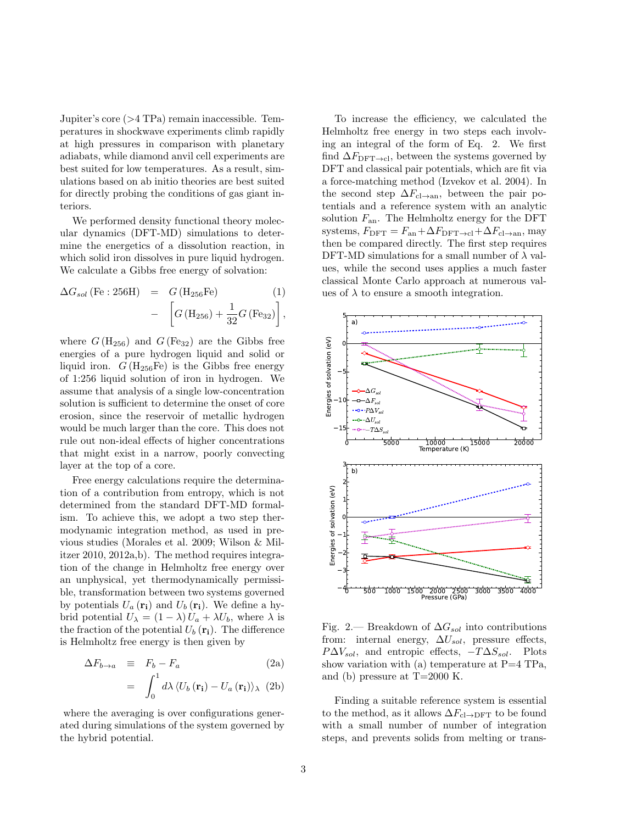Jupiter's core (>4 TPa) remain inaccessible. Temperatures in shockwave experiments climb rapidly at high pressures in comparison with planetary adiabats, while diamond anvil cell experiments are best suited for low temperatures. As a result, simulations based on ab initio theories are best suited for directly probing the conditions of gas giant interiors.

We performed density functional theory molecular dynamics (DFT-MD) simulations to determine the energetics of a dissolution reaction, in which solid iron dissolves in pure liquid hydrogen. We calculate a Gibbs free energy of solvation:

$$
\Delta G_{sol} \text{ (Fe : 256H)} = G \text{ (H}_{256} \text{Fe)} \qquad (1)
$$

$$
- \left[ G \text{ (H}_{256}) + \frac{1}{32} G \text{ (Fe}_{32}) \right],
$$

where  $G(\mathrm{H}_{256})$  and  $G(\mathrm{Fe}_{32})$  are the Gibbs free energies of a pure hydrogen liquid and solid or liquid iron.  $G(\text{H}_{256}\text{Fe})$  is the Gibbs free energy of 1:256 liquid solution of iron in hydrogen. We assume that analysis of a single low-concentration solution is sufficient to determine the onset of core erosion, since the reservoir of metallic hydrogen would be much larger than the core. This does not rule out non-ideal effects of higher concentrations that might exist in a narrow, poorly convecting layer at the top of a core.

Free energy calculations require the determination of a contribution from entropy, which is not determined from the standard DFT-MD formalism. To achieve this, we adopt a two step thermodynamic integration method, as used in previous studies (Morales et al. 2009; Wilson & Militzer 2010, 2012a,b). The method requires integration of the change in Helmholtz free energy over an unphysical, yet thermodynamically permissible, transformation between two systems governed by potentials  $U_a(\mathbf{r_i})$  and  $U_b(\mathbf{r_i})$ . We define a hybrid potential  $U_{\lambda} = (1 - \lambda) U_a + \lambda U_b$ , where  $\lambda$  is the fraction of the potential  $U_b(\mathbf{r_i})$ . The difference is Helmholtz free energy is then given by

$$
\Delta F_{b \to a} \equiv F_b - F_a \tag{2a}
$$

$$
= \int_0^1 d\lambda \, \langle U_b(\mathbf{r_i}) - U_a(\mathbf{r_i}) \rangle_{\lambda} \tag{2b}
$$

where the averaging is over configurations generated during simulations of the system governed by the hybrid potential.

To increase the efficiency, we calculated the Helmholtz free energy in two steps each involving an integral of the form of Eq. 2. We first find  $\Delta F_{\text{DFT}\rightarrow\text{cl}}$ , between the systems governed by DFT and classical pair potentials, which are fit via a force-matching method (Izvekov et al. 2004). In the second step  $\Delta F_{\text{cl}\rightarrow\text{an}}$ , between the pair potentials and a reference system with an analytic solution  $F_{\text{an}}$ . The Helmholtz energy for the DFT systems,  $F_{\text{DFT}} = F_{\text{an}} + \Delta F_{\text{DFT} \rightarrow \text{cl}} + \Delta F_{\text{cl} \rightarrow \text{an}}$ , may then be compared directly. The first step requires DFT-MD simulations for a small number of  $\lambda$  values, while the second uses applies a much faster classical Monte Carlo approach at numerous values of  $\lambda$  to ensure a smooth integration.



Fig. 2.— Breakdown of  $\Delta G_{sol}$  into contributions from: internal energy,  $\Delta U_{sol}$ , pressure effects,  $P\Delta V_{sol}$ , and entropic effects,  $-T\Delta S_{sol}$ . Plots show variation with (a) temperature at  $P=4$  TPa, and (b) pressure at  $T=2000$  K.

Finding a suitable reference system is essential to the method, as it allows  $\Delta F_{\text{cl}\rightarrow\text{DFT}}$  to be found with a small number of number of integration steps, and prevents solids from melting or trans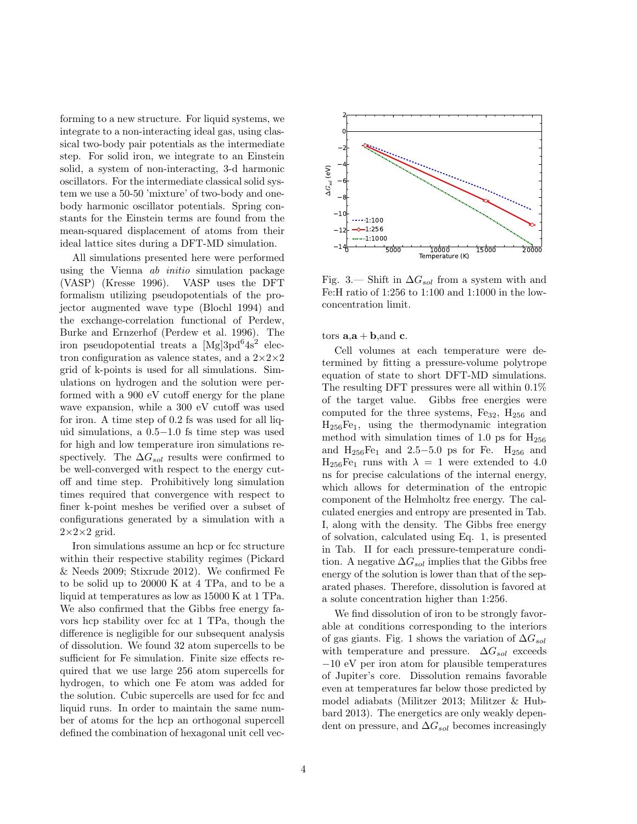forming to a new structure. For liquid systems, we integrate to a non-interacting ideal gas, using classical two-body pair potentials as the intermediate step. For solid iron, we integrate to an Einstein solid, a system of non-interacting, 3-d harmonic oscillators. For the intermediate classical solid system we use a 50-50 'mixture' of two-body and onebody harmonic oscillator potentials. Spring constants for the Einstein terms are found from the mean-squared displacement of atoms from their ideal lattice sites during a DFT-MD simulation.

All simulations presented here were performed using the Vienna ab initio simulation package (VASP) (Kresse 1996). VASP uses the DFT formalism utilizing pseudopotentials of the projector augmented wave type (Blochl 1994) and the exchange-correlation functional of Perdew, Burke and Ernzerhof (Perdew et al. 1996). The iron pseudopotential treats a [Mg]3pd<sup>6</sup>4s<sup>2</sup> electron configuration as valence states, and a  $2 \times 2 \times 2$ grid of k-points is used for all simulations. Simulations on hydrogen and the solution were performed with a 900 eV cutoff energy for the plane wave expansion, while a 300 eV cutoff was used for iron. A time step of 0.2 fs was used for all liquid simulations, a 0.5−1.0 fs time step was used for high and low temperature iron simulations respectively. The  $\Delta G_{sol}$  results were confirmed to be well-converged with respect to the energy cutoff and time step. Prohibitively long simulation times required that convergence with respect to finer k-point meshes be verified over a subset of configurations generated by a simulation with a  $2\times2\times2$  grid.

Iron simulations assume an hcp or fcc structure within their respective stability regimes (Pickard & Needs 2009; Stixrude 2012). We confirmed Fe to be solid up to 20000 K at 4 TPa, and to be a liquid at temperatures as low as 15000 K at 1 TPa. We also confirmed that the Gibbs free energy favors hcp stability over fcc at 1 TPa, though the difference is negligible for our subsequent analysis of dissolution. We found 32 atom supercells to be sufficient for Fe simulation. Finite size effects required that we use large 256 atom supercells for hydrogen, to which one Fe atom was added for the solution. Cubic supercells are used for fcc and liquid runs. In order to maintain the same number of atoms for the hcp an orthogonal supercell defined the combination of hexagonal unit cell vec-



Fig. 3.— Shift in  $\Delta G_{sol}$  from a system with and Fe:H ratio of 1:256 to 1:100 and 1:1000 in the lowconcentration limit.

tors  $\mathbf{a} \cdot \mathbf{a} + \mathbf{b}$ , and  $\mathbf{c}$ .

Cell volumes at each temperature were determined by fitting a pressure-volume polytrope equation of state to short DFT-MD simulations. The resulting DFT pressures were all within 0.1% of the target value. Gibbs free energies were computed for the three systems,  $Fe_{32}$ ,  $H_{256}$  and H256Fe1, using the thermodynamic integration method with simulation times of 1.0 ps for  $H_{256}$ and  $H_{256}Fe_1$  and 2.5–5.0 ps for Fe.  $H_{256}$  and  $H_{256}Fe_1$  runs with  $\lambda = 1$  were extended to 4.0 ns for precise calculations of the internal energy, which allows for determination of the entropic component of the Helmholtz free energy. The calculated energies and entropy are presented in Tab. I, along with the density. The Gibbs free energy of solvation, calculated using Eq. 1, is presented in Tab. II for each pressure-temperature condition. A negative  $\Delta G_{sol}$  implies that the Gibbs free energy of the solution is lower than that of the separated phases. Therefore, dissolution is favored at a solute concentration higher than 1:256.

We find dissolution of iron to be strongly favorable at conditions corresponding to the interiors of gas giants. Fig. 1 shows the variation of  $\Delta G_{sol}$ with temperature and pressure.  $\Delta G_{sol}$  exceeds −10 eV per iron atom for plausible temperatures of Jupiter's core. Dissolution remains favorable even at temperatures far below those predicted by model adiabats (Militzer 2013; Militzer & Hubbard 2013). The energetics are only weakly dependent on pressure, and  $\Delta G_{sol}$  becomes increasingly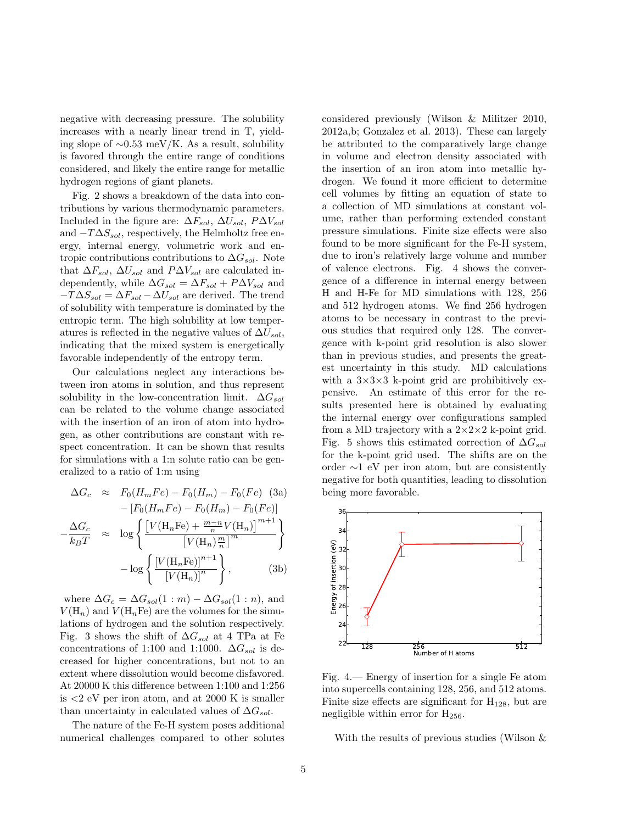negative with decreasing pressure. The solubility increases with a nearly linear trend in T, yielding slope of ∼0.53 meV/K. As a result, solubility is favored through the entire range of conditions considered, and likely the entire range for metallic hydrogen regions of giant planets.

Fig. 2 shows a breakdown of the data into contributions by various thermodynamic parameters. Included in the figure are:  $\Delta F_{sol}$ ,  $\Delta U_{sol}$ ,  $P \Delta V_{sol}$ and  $-T\Delta S_{sol}$ , respectively, the Helmholtz free energy, internal energy, volumetric work and entropic contributions contributions to  $\Delta G_{sol}$ . Note that  $\Delta F_{sol}$ ,  $\Delta U_{sol}$  and  $P \Delta V_{sol}$  are calculated independently, while  $\Delta G_{sol} = \Delta F_{sol} + P \Delta V_{sol}$  and  $-T\Delta S_{sol} = \Delta F_{sol} - \Delta U_{sol}$  are derived. The trend of solubility with temperature is dominated by the entropic term. The high solubility at low temperatures is reflected in the negative values of  $\Delta U_{sol}$ , indicating that the mixed system is energetically favorable independently of the entropy term.

Our calculations neglect any interactions between iron atoms in solution, and thus represent solubility in the low-concentration limit.  $\Delta G_{sol}$ can be related to the volume change associated with the insertion of an iron of atom into hydrogen, as other contributions are constant with respect concentration. It can be shown that results for simulations with a 1:n solute ratio can be generalized to a ratio of 1:m using

$$
\Delta G_c \approx F_0(H_m Fe) - F_0(H_m) - F_0(Fe) \quad (3a)
$$

$$
- [F_0(H_m Fe) - F_0(H_m) - F_0(Fe)]
$$

$$
-\frac{\Delta G_c}{k_B T} \approx \log \left\{ \frac{\left[V(\mathbf{H}_n \mathbf{F} \mathbf{e}) + \frac{m-n}{n} V(\mathbf{H}_n)\right]^{m+1}}{\left[V(\mathbf{H}_n)^{\frac{m}{n}}\right]^m} \right\}
$$

$$
- \log \left\{ \frac{\left[V(\mathbf{H}_n \mathbf{F} \mathbf{e})\right]^{n+1}}{\left[V(\mathbf{H}_n)\right]^n} \right\}, \quad (3b)
$$

where  $\Delta G_c = \Delta G_{sol}(1:m) - \Delta G_{sol}(1:n)$ , and  $V(H_n)$  and  $V(H_nF_e)$  are the volumes for the simulations of hydrogen and the solution respectively. Fig. 3 shows the shift of  $\Delta G_{sol}$  at 4 TPa at Fe concentrations of 1:100 and 1:1000.  $\Delta G_{sol}$  is decreased for higher concentrations, but not to an extent where dissolution would become disfavored. At 20000 K this difference between 1:100 and 1:256 is <2 eV per iron atom, and at 2000 K is smaller than uncertainty in calculated values of  $\Delta G_{sol}$ .

The nature of the Fe-H system poses additional numerical challenges compared to other solutes considered previously (Wilson & Militzer 2010, 2012a,b; Gonzalez et al. 2013). These can largely be attributed to the comparatively large change in volume and electron density associated with the insertion of an iron atom into metallic hydrogen. We found it more efficient to determine cell volumes by fitting an equation of state to a collection of MD simulations at constant volume, rather than performing extended constant pressure simulations. Finite size effects were also found to be more significant for the Fe-H system, due to iron's relatively large volume and number of valence electrons. Fig. 4 shows the convergence of a difference in internal energy between H and H-Fe for MD simulations with 128, 256 and 512 hydrogen atoms. We find 256 hydrogen atoms to be necessary in contrast to the previous studies that required only 128. The convergence with k-point grid resolution is also slower than in previous studies, and presents the greatest uncertainty in this study. MD calculations with a  $3\times3\times3$  k-point grid are prohibitively expensive. An estimate of this error for the results presented here is obtained by evaluating the internal energy over configurations sampled from a MD trajectory with a  $2 \times 2 \times 2$  k-point grid. Fig. 5 shows this estimated correction of  $\Delta G_{sol}$ for the k-point grid used. The shifts are on the order ∼1 eV per iron atom, but are consistently negative for both quantities, leading to dissolution being more favorable.



Fig. 4.— Energy of insertion for a single Fe atom into supercells containing 128, 256, and 512 atoms. Finite size effects are significant for  $H_{128}$ , but are negligible within error for  $H_{256}$ .

With the results of previous studies (Wilson &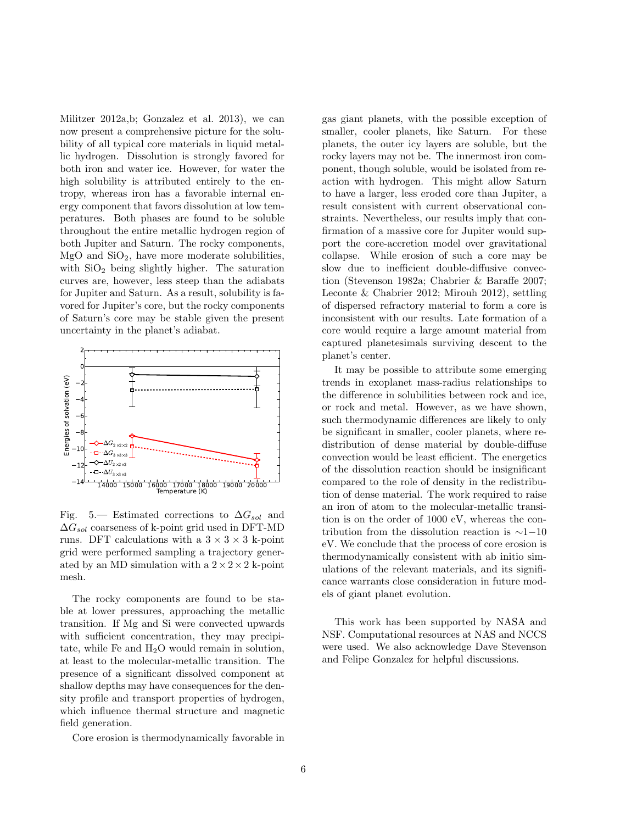Militzer 2012a,b; Gonzalez et al. 2013), we can now present a comprehensive picture for the solubility of all typical core materials in liquid metallic hydrogen. Dissolution is strongly favored for both iron and water ice. However, for water the high solubility is attributed entirely to the entropy, whereas iron has a favorable internal energy component that favors dissolution at low temperatures. Both phases are found to be soluble throughout the entire metallic hydrogen region of both Jupiter and Saturn. The rocky components,  $MgO$  and  $SiO<sub>2</sub>$ , have more moderate solubilities, with  $SiO<sub>2</sub>$  being slightly higher. The saturation curves are, however, less steep than the adiabats for Jupiter and Saturn. As a result, solubility is favored for Jupiter's core, but the rocky components of Saturn's core may be stable given the present uncertainty in the planet's adiabat.



Fig. 5.— Estimated corrections to  $\Delta G_{sol}$  and  $\Delta G_{sol}$  coarseness of k-point grid used in DFT-MD runs. DFT calculations with a  $3 \times 3 \times 3$  k-point grid were performed sampling a trajectory generated by an MD simulation with a  $2 \times 2 \times 2$  k-point mesh.

The rocky components are found to be stable at lower pressures, approaching the metallic transition. If Mg and Si were convected upwards with sufficient concentration, they may precipitate, while Fe and  $H_2O$  would remain in solution, at least to the molecular-metallic transition. The presence of a significant dissolved component at shallow depths may have consequences for the density profile and transport properties of hydrogen, which influence thermal structure and magnetic field generation.

Core erosion is thermodynamically favorable in

gas giant planets, with the possible exception of smaller, cooler planets, like Saturn. For these planets, the outer icy layers are soluble, but the rocky layers may not be. The innermost iron component, though soluble, would be isolated from reaction with hydrogen. This might allow Saturn to have a larger, less eroded core than Jupiter, a result consistent with current observational constraints. Nevertheless, our results imply that confirmation of a massive core for Jupiter would support the core-accretion model over gravitational collapse. While erosion of such a core may be slow due to inefficient double-diffusive convection (Stevenson 1982a; Chabrier & Baraffe 2007; Leconte & Chabrier 2012; Mirouh 2012), settling of dispersed refractory material to form a core is inconsistent with our results. Late formation of a core would require a large amount material from captured planetesimals surviving descent to the planet's center.

It may be possible to attribute some emerging trends in exoplanet mass-radius relationships to the difference in solubilities between rock and ice, or rock and metal. However, as we have shown, such thermodynamic differences are likely to only be significant in smaller, cooler planets, where redistribution of dense material by double-diffuse convection would be least efficient. The energetics of the dissolution reaction should be insignificant compared to the role of density in the redistribution of dense material. The work required to raise an iron of atom to the molecular-metallic transition is on the order of 1000 eV, whereas the contribution from the dissolution reaction is ∼1−10 eV. We conclude that the process of core erosion is thermodynamically consistent with ab initio simulations of the relevant materials, and its significance warrants close consideration in future models of giant planet evolution.

This work has been supported by NASA and NSF. Computational resources at NAS and NCCS were used. We also acknowledge Dave Stevenson and Felipe Gonzalez for helpful discussions.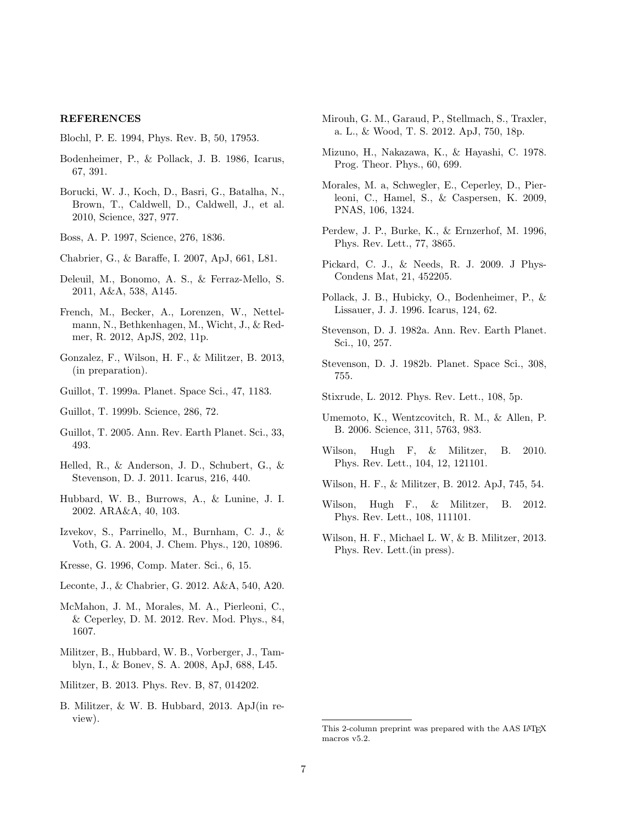## REFERENCES

Blochl, P. E. 1994, Phys. Rev. B, 50, 17953.

- Bodenheimer, P., & Pollack, J. B. 1986, Icarus, 67, 391.
- Borucki, W. J., Koch, D., Basri, G., Batalha, N., Brown, T., Caldwell, D., Caldwell, J., et al. 2010, Science, 327, 977.

Boss, A. P. 1997, Science, 276, 1836.

- Chabrier, G., & Baraffe, I. 2007, ApJ, 661, L81.
- Deleuil, M., Bonomo, A. S., & Ferraz-Mello, S. 2011, A&A, 538, A145.
- French, M., Becker, A., Lorenzen, W., Nettelmann, N., Bethkenhagen, M., Wicht, J., & Redmer, R. 2012, ApJS, 202, 11p.
- Gonzalez, F., Wilson, H. F., & Militzer, B. 2013, (in preparation).
- Guillot, T. 1999a. Planet. Space Sci., 47, 1183.
- Guillot, T. 1999b. Science, 286, 72.
- Guillot, T. 2005. Ann. Rev. Earth Planet. Sci., 33, 493.
- Helled, R., & Anderson, J. D., Schubert, G., & Stevenson, D. J. 2011. Icarus, 216, 440.
- Hubbard, W. B., Burrows, A., & Lunine, J. I. 2002. ARA&A, 40, 103.
- Izvekov, S., Parrinello, M., Burnham, C. J., & Voth, G. A. 2004, J. Chem. Phys., 120, 10896.
- Kresse, G. 1996, Comp. Mater. Sci., 6, 15.
- Leconte, J., & Chabrier, G. 2012. A&A, 540, A20.
- McMahon, J. M., Morales, M. A., Pierleoni, C., & Ceperley, D. M. 2012. Rev. Mod. Phys., 84, 1607.
- Militzer, B., Hubbard, W. B., Vorberger, J., Tamblyn, I., & Bonev, S. A. 2008, ApJ, 688, L45.
- Militzer, B. 2013. Phys. Rev. B, 87, 014202.
- B. Militzer, & W. B. Hubbard, 2013. ApJ(in review).
- Mirouh, G. M., Garaud, P., Stellmach, S., Traxler, a. L., & Wood, T. S. 2012. ApJ, 750, 18p.
- Mizuno, H., Nakazawa, K., & Hayashi, C. 1978. Prog. Theor. Phys., 60, 699.
- Morales, M. a, Schwegler, E., Ceperley, D., Pierleoni, C., Hamel, S., & Caspersen, K. 2009, PNAS, 106, 1324.
- Perdew, J. P., Burke, K., & Ernzerhof, M. 1996, Phys. Rev. Lett., 77, 3865.
- Pickard, C. J., & Needs, R. J. 2009. J Phys-Condens Mat, 21, 452205.
- Pollack, J. B., Hubicky, O., Bodenheimer, P., & Lissauer, J. J. 1996. Icarus, 124, 62.
- Stevenson, D. J. 1982a. Ann. Rev. Earth Planet. Sci., 10, 257.
- Stevenson, D. J. 1982b. Planet. Space Sci., 308, 755.
- Stixrude, L. 2012. Phys. Rev. Lett., 108, 5p.
- Umemoto, K., Wentzcovitch, R. M., & Allen, P. B. 2006. Science, 311, 5763, 983.
- Wilson, Hugh F, & Militzer, B. 2010. Phys. Rev. Lett., 104, 12, 121101.
- Wilson, H. F., & Militzer, B. 2012. ApJ, 745, 54.
- Wilson, Hugh F., & Militzer, B. 2012. Phys. Rev. Lett., 108, 111101.
- Wilson, H. F., Michael L. W, & B. Militzer, 2013. Phys. Rev. Lett.(in press).

This 2-column preprint was prepared with the AAS LATEX macros v5.2.